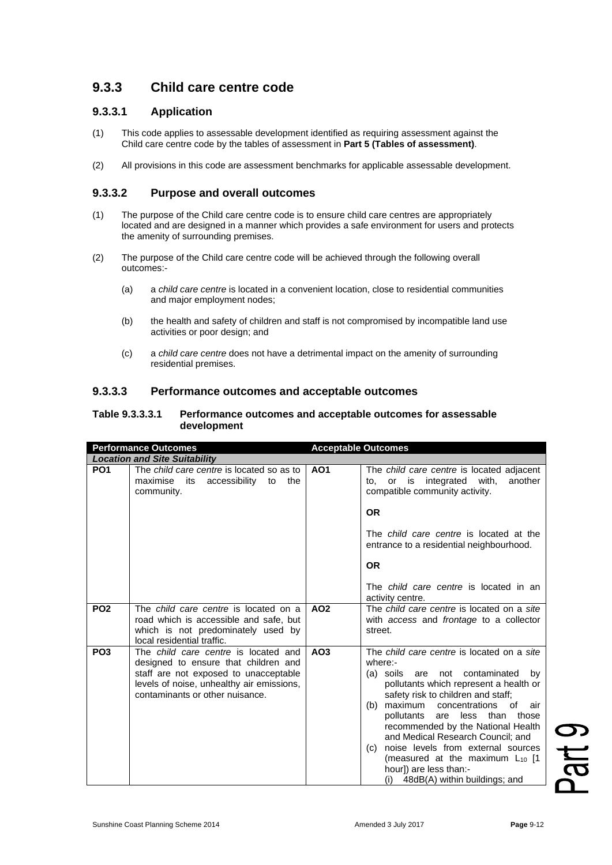# **9.3.3 Child care centre code**

## **9.3.3.1 Application**

- (1) This code applies to assessable development identified as requiring assessment against the Child care centre code by the tables of assessment in **Part 5 (Tables of assessment)**.
- (2) All provisions in this code are assessment benchmarks for applicable assessable development.

## **9.3.3.2 Purpose and overall outcomes**

- (1) The purpose of the Child care centre code is to ensure child care centres are appropriately located and are designed in a manner which provides a safe environment for users and protects the amenity of surrounding premises.
- (2) The purpose of the Child care centre code will be achieved through the following overall outcomes:-
	- (a) a *child care centre* is located in a convenient location, close to residential communities and major employment nodes;
	- (b) the health and safety of children and staff is not compromised by incompatible land use activities or poor design; and
	- (c) a *child care centre* does not have a detrimental impact on the amenity of surrounding residential premises.

#### **9.3.3.3 Performance outcomes and acceptable outcomes**

#### **Table 9.3.3.3.1 Performance outcomes and acceptable outcomes for assessable development**

| <b>Performance Outcomes</b> |                                                                                                                                                                                                       | <b>Acceptable Outcomes</b> |                                                                                                                                                                                                                                                                                                                                                                                                                                                                                                      |
|-----------------------------|-------------------------------------------------------------------------------------------------------------------------------------------------------------------------------------------------------|----------------------------|------------------------------------------------------------------------------------------------------------------------------------------------------------------------------------------------------------------------------------------------------------------------------------------------------------------------------------------------------------------------------------------------------------------------------------------------------------------------------------------------------|
|                             | <b>Location and Site Suitability</b>                                                                                                                                                                  |                            |                                                                                                                                                                                                                                                                                                                                                                                                                                                                                                      |
| PO <sub>1</sub>             | The child care centre is located so as to<br>maximise<br>accessibility<br>its<br>to<br>the<br>community.                                                                                              | AO <sub>1</sub>            | The child care centre is located adjacent<br>or is integrated with,<br>another<br>to,<br>compatible community activity.<br><b>OR</b>                                                                                                                                                                                                                                                                                                                                                                 |
|                             |                                                                                                                                                                                                       |                            | The <i>child care centre</i> is located at the<br>entrance to a residential neighbourhood.<br><b>OR</b><br>The <i>child care centre</i> is located in an                                                                                                                                                                                                                                                                                                                                             |
|                             |                                                                                                                                                                                                       |                            | activity centre.                                                                                                                                                                                                                                                                                                                                                                                                                                                                                     |
| PO <sub>2</sub>             | The <i>child care centre</i> is located on a<br>road which is accessible and safe. but<br>which is not predominately used by<br>local residential traffic.                                            | AO <sub>2</sub>            | The <i>child care centre</i> is located on a site<br>with access and frontage to a collector<br>street.                                                                                                                                                                                                                                                                                                                                                                                              |
| PO <sub>3</sub>             | The child care centre is located and<br>designed to ensure that children and<br>staff are not exposed to unacceptable<br>levels of noise, unhealthy air emissions,<br>contaminants or other nuisance. | AO <sub>3</sub>            | The child care centre is located on a site<br>where:-<br>(a) soils are not contaminated<br>by<br>pollutants which represent a health or<br>safety risk to children and staff;<br>maximum<br>concentrations<br>of<br>air<br>(b)<br>pollutants are less than<br>those<br>recommended by the National Health<br>and Medical Research Council; and<br>noise levels from external sources<br>(c)<br>(measured at the maximum $L_{10}$ [1<br>hourl) are less than:-<br>$(i)$ 48dB(A) within buildings; and |